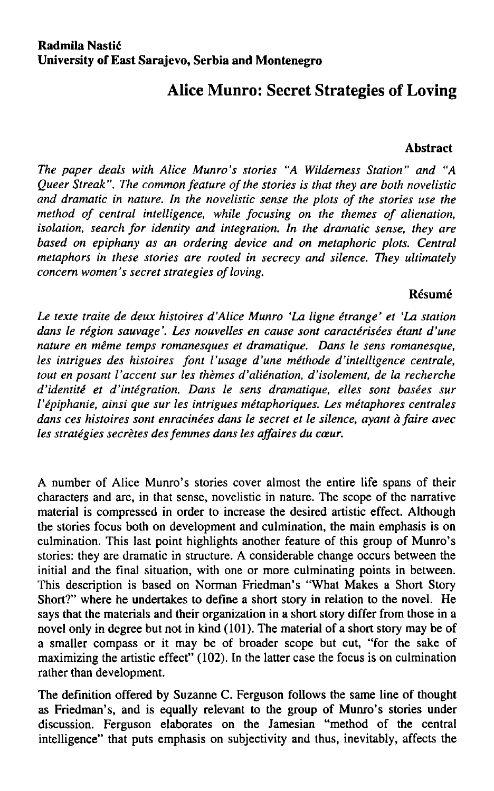## **Alice Munro: Secret Strategies of Loving**

## **Abstract**

*The páper deals with Alice Munro's stories "A Wildemess Station" and "A Queer Streak". The common feature of the stories is that they are both novelistic and dramatic in nature. In the novelistic sense the plots of the stories use the*  method of central intelligence, while focusing on the themes of alienation, *isolation, search for identity and integration. In the dramatic sense, they are based on epiphany as an ordering device and on metaphoric plots. Central metaphors in these stories are rooted in secrecy and silence. They ultimately concern women's secret strategies of loving.* 

## **Résumé**

*Le texte traite de deux histoires ďAlice Munro 'La ligne étrange' et 'La station dans le region sauvage'. Les nouvelles en cause sont caractérisées étant ďune nátuře en méme temps romanesques et dramatique. Dans le sens romanesque, les intrigues des histoires font l'usage ďune méthode d'intelligence centrále, tout en posant Vaccent sur les themes d'alienation, ďisolement, de la recherche ďidentité et d'integration. Dans le sens dramatique, elles sont basées sur Vépiphanie, ainsi que sur les intrigues métaphoriques. Les métaphores centrales dans ces histoires sont enracinées dans le secret et le silence, ayant á faire avec les strategies secrětes des femmes dans les affaires du cceur.* 

A number of Alice Munro's stories cover almost the entire life spans of their characters and are, in that sense, novelistic in nature. The scope of the narrative materiál is compressed in order to increase the desired artistic effect. Although the stories focus both on development and culmination, the main emphasis is on culmination. This last point highlights another feature of this group of Munro's stories: they are dramatic in structure. A considerable change occurs between the initial and the final situation, with one or more culminating points in between. This description is based on Norman Friedman's "What Makes a Short Story Short?" where he undertakes to define a short story in relation to the novel. He says that the materials and their organization in a short story differ from those in a novel only in degree but not in kind (101). The materiál of a short story may be of a smaller compass or it may be of broader scope but cut, "for the sake of maximizing the artistic effect" (102). In the latter case the focus is on culmination rather than development.

The definition offered by Suzanne C. Ferguson follows the same line of thought as Friedman's, and is equally relevant to the group of Munro's stories under discussion. Ferguson elaborates on the Jamesian "method of the central intelligence" that puts emphasis on subjectivity and thus, inevitably, affects the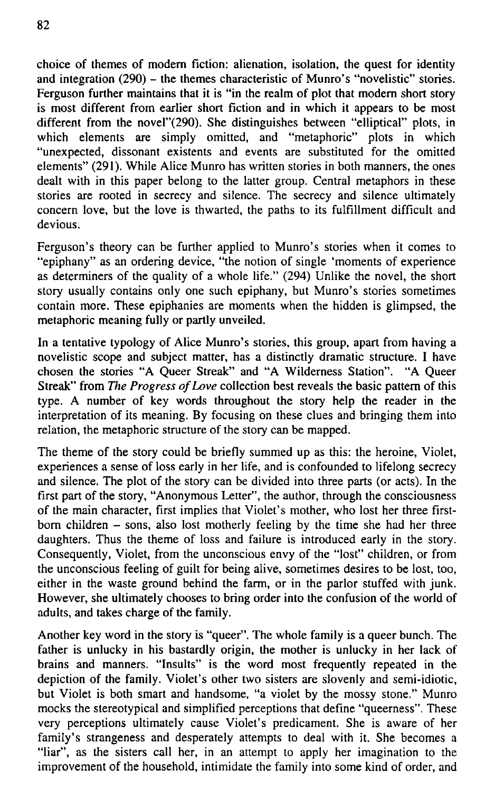choice of themes of modem fiction: alienation, isolation, the quest for identity and integration (290) – the themes characteristic of Munro's "novelistic" stories. Ferguson further maintains that it is "in the realm of plot that modem short story is most different from earlier short fiction and in which it appears to be most different from the novel"(290). She distinguishes between "elliptical" plots, in which elements are simply omitted, and "metaphoric" plots in which "unexpected, dissonant existents and events are substituted for the omitted elements" (291). While Alice Munro has written stories in both manners, the ones dealt with in this paper belong to the latter group. Central metaphors in these stories are rooted in secrecy and silence. The secrecy and silence ultimately concern love, but the love is thwarted, the paths to its fulfillment difficult and devious.

Ferguson's theory can be further applied to Munro's stories when it comes to "epiphany" as an ordering device, "the notion of single 'moments of experience as determiners of the quality of a whole life." (294) Unlike the novel, the short story usually contains only one such epiphany, but Munro's stories sometimes contain more. These epiphanies are moments when the hidden is glimpsed, the metaphoric meaning fully or partly unveiled.

In a tentative typology of Alice Munro's stories, this group, apart from having a novelistic scope and subject matter, has a distinctly dramatic structure. I have chosen the stories " A Queer Streak" and " A Wilderness Station". " A Queer Streak" from *The Progress of Love* collection best reveals the basic pattern of this type. A number of key words throughout the story help the reader in the interpretation of its meaning. By focusing on these clues and bringing them inlo relation, the metaphoric structure of the story can be mapped.

The theme of the story could be briefly summed up as this: the heroine, Violet, experiences a sense of loss early in her life, and is confounded to lifelong secrecy and silence. The plot of the story can be divided into three parts (or acts). In the first part of the story, "Anonymous Letter", the author, through the consciousness of the main character, first implies that Violeťs mother, who lost her three firstborn children  $-$  sons, also lost motherly feeling by the time she had her three daughters. Thus the theme of loss and failure is introduced early in the story. Consequently, Violet, from the unconscious envy of the "lost" children, or from the unconscious feeling of guilt for being alive, sometimes desires to be lost, too, either in the waste ground behind the farm, or in the parlor stuffed with junk. However, she ultimately chooses to bring order into the confusion of the world of adults, and takes charge of the family.

Another key word in the story is "queer". The whole family is a queer bunch. The father is unlucky in his bastardly origin, the mother is unlucky in her lack of brains and manners. "Insults" is the word most frequently repeated in the depiction of the family. Violet's other two sisters are slovenly and semi-idiotic, but Violet is both smart and handsome, "a violet by the mossy stone." Munro mocks the stereotypical and simplified perceptions that define "queerness". These very perceptions ultimately cause Violeťs predicament. She is aware of her family's strangeness and desperately attempts to deal with it. She becomes a "liar", as the sisters call her, in an attempt to apply her imagination to the improvement of the household, intimidate the family into some kind of order, and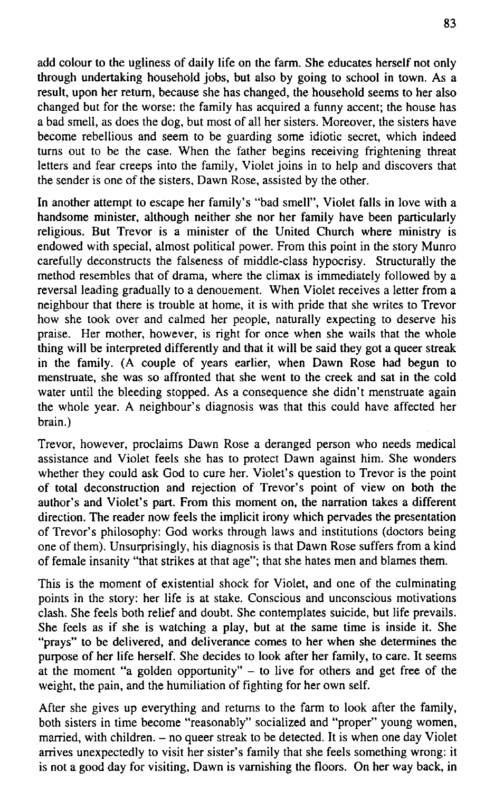add colour to the ugliness of daily life on the farm. She educates herself not only through undertaking household jobs, but also by going to school in town. As a result, upon her return, because she has changed, the household seems to her also changed but for the worse: the family has acquired a funny accent; the house has a bad smell, as does the dog, but most of all her sisters. Moreover, the sisters have become rebellious and seem to be guarding some idiotie secret, which indeed turns out to be the case. When the father begins receiving frightening threat letters and fear creeps into the family, Violet joins in to help and discovers that the sender is one of the sisters, Dawn Rose, assisted by the other.

In another attempt to escape her family's "bad smell", Violet falls in love with a handsome minister, although neither she nor her family have been particularly religious. But Trevor is a minister of the United Church where ministry is endowed with speciál, almost political power. From this point in the story Munro carefully deconstructs the falseness of middle-class hypoerisy. Structurally the method resembles that of drama, where the climax is immediately followed by a reversal leading gradually to a denouement. When Violet receives a letter from a neighbour that there is trouble at home, it is with pride that she writes to Trevor how she took over and calmed her people, naturally expecting to deserve his praise. Her mother, however, is right for once when she wails that the whole thing will be interpreted differently and that it will be said they got a queer streak in the family. (A couple of years earlier, when Dawn Rose had begun to menstruate, she was so affronted that she went to the creek and sat in the cold water until the bleeding stopped. As a consequence she didn't menstruate again the whole year. A neighbour's diagnosis was that this could have affected her brain.)

Trevor, however, proclaims Dawn Rose a deranged person who needs medical assistance and Violet feels she has to protect Dawn against him. She wonders whether they could ask God to cure her. Violet's question to Trevor is the point of total deconstruction and rejection of Trevor's point of view on both the author's and Violeťs part. From this moment on, the narration takés a different direction. The reader now feels the implicit irony which pervades the presentation of Trevor's philosophy: God works through laws and institutions (doctors being one of them). Unsurprisingly, his diagnosis is that Dawn Rose suffers from a kind of female insanity "that strikes at that age"; that she hates men and blames them.

This is the moment of existential shock for Violet, and one of the culminating points in the story: her life is at stake. Conscious and unconscious motivations clash. She feels both reliéf and doubt. She contemplates suicide, but life prevails. She feels as if she is watching a play, but at the same time is inside it. She "prays" to be delivered, and deliverance comes to her when she determines the purpose of her life herself. She decides to look after her family, to care. It seems at the moment "a golden opportunity"  $-$  to live for others and get free of the weight, the pain, and the humiliation of fighting for her own self.

After she gives up everything and returns to the farm to look after the family, both sisters in time become "reasonably" socialized and "proper" young women, married, with children. - no queer streak to be detected. It is when one day Violet arrives unexpectedly to visit her sister's family that she feels something wrong: it is not a good day for visiting, Dawn is varnishing the floors. On her way back, in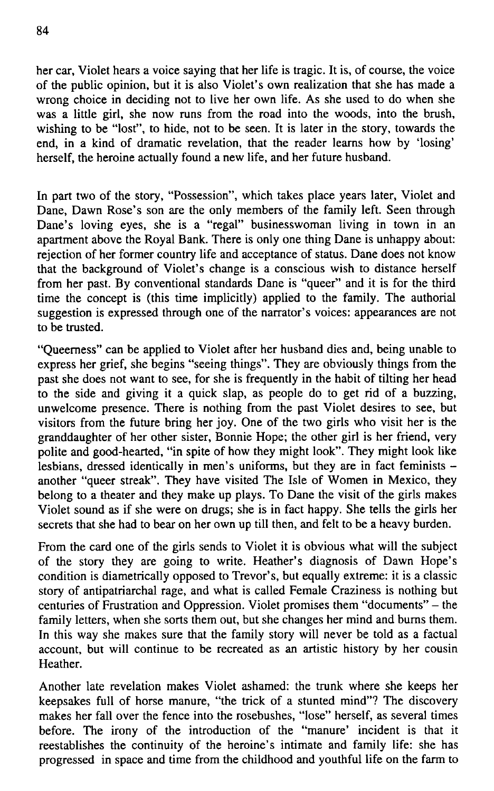her car, Violet hears a voice saying that her life is tragic. It is, of course, the voice of the public opinion, but it is also Violet's own realization that she has made a wrong choice in deciding not to live her own life. As she used to do when she was a little girl, she now runs from the road into the woods, into the brush, wishing to be "lost", to hide, not to be seen. It is later in the story, towards the end, in a kind of dramatic revelation, that the reader learns how by 'losing' herself, the heroine actually found a new life, and her future husband.

In part two of the story, "Possession", which takes place years later, Violet and Dane, Dawn Rose's son are the only members of the family left. Seen through Dane's loving eyes, she is a "regal" businesswoman living in town in an apartment above the Royal Bank. There is only one thing Dane is unhappy about: rejection of her former country life and acceptance of status. Dane does not know that the background of Violet's change is a conscious wish to distance herself from her past. By conventional standards Dane is "queer" and it is for the third time the concept is (this time implicitly) applied to the family. The authorial suggestion is expressed through one of the narrator's voices: appearances are not to be trusted.

"Queemess" can be applied to Violet after her husband dies and, being unable to express her grief, she begins "seeing things". They are obviously things from the past she does not want to see, for she is frequently in the habit of tilting her head to the side and giving it a quick slap, as people do to get rid of a buzzing, unwelcome presence. There is nothing from the past Violet desires to see, but visitors from the future bring her joy. One of the two girls who visit her is the granddaughter of her other sister, Bonnie Hope; the other girl is her friend, very polite and good-hearted, "in spite of how they might look". They might look like lesbians, dressed identically in men's uniforms, but they are in fact feminists another "queer streak". They have visited The Isle of Women in Mexico, they belong to a theater and they make up plays. To Dane the visit of the girls makes Violet sound as if she were on drugs; she is in fact happy. She telíš the girls her secrets that she had to bear on her own up till then, and felt to be a heavy burden.

From the card one of the girls sends to Violet it is obvious what will the subject of the story they are going to write. Heather's diagnosis of Dawn Hope's condition is diametrically opposed to Trevor's, but equally extreme: it is a classic story of antipatriarchal rage, and what is called Female Craziness is nothing but centuries of Frustration and Oppression. Violet promises them "documents" - the family letters, when she sorts them out, but she changes her mind and burns them. In this way she makes sure that the family story will never be told as a factual account, but will continue to be recreated as an artistic history by her cousin Heather.

Another late revelation makes Violet ashamed: the trunk where she keeps her keepsakes full of horse manure, "the trick of a stunted mind"? The discovery makes her fall over the fence into the rosebushes, "lose" herself, as several times before. The irony of the introduction of the "manure' incident is that it reestablishes the continuity of the heroine's intimate and family life: she has progressed in space and time from the childhood and youthful life on the farm to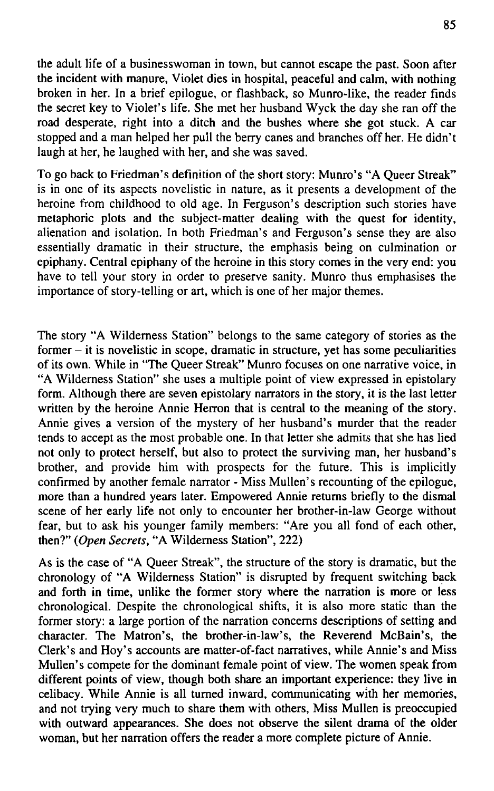the adult life of a businesswoman in town, but cannot escape the past. Soon after the incident with manure, Violet dies in hospital, peaceful and calm, with nothing broken in her. In a brief epilogue, or flashback, so Munro-like, the reader finds the secret key to Violet's life. She met her husband Wyck the day she ran off the road desperate, right into a ditch and the bushes where she got stuck. A car stopped and a man helped her pull the berry canes and branches off her. He didn't laugh at her, he laughed with her, and she was saved.

To go back to Friedman's definition of the short story: Munro's " A Queer Streak" is in one of its aspects novelistic in nature, as it presents a development of the heroine from childhood to old age. In Ferguson's description such stories have metaphoric plots and the subject-matler dealing with the quest for identity, alienation and isolation. In both Friedman's and Ferguson's sense they are also essentially dramatic in their structure, the emphasis being on culmination oř epiphany. Central epiphany of the heroine in this story comes in the very end: you have to tell your story in order to preserve sanity. Munro thus emphasises the importance of story-telling or art, which is one of her major themes.

The story "A Wilderness Station" belongs to the same category of stories as the former - it is novelistic in scope, dramatic in structure, yet has some peculiarities of its own. While in "The Queer Streak" Munro focuses on one narrative voice, in "A Wilderness Station" she uses a multiple point of view expressed in epistolary form. Although there are seven epistolary narrators in the story, it is the last letter written by the heroine Annie Herron that is central to the meaning of the story. Annie gives a version of the mystery of her husband's murder that the reader tends to accept as the most probable one. In that letter she admits that she has lied not only to protect herself, but also to protect the surviving man, her husband's brother, and provide him with prospects for the future. This is implicitly confirmed by another female narrator - Miss Mullen's recounting of the epilogue, more than a hundred years later. Empowered Annie retums briefly to the dismal scene of her early life not only to encounter her brother-in-law George without fear, but to ask his younger family members: "Are you all fond of each other, then?" *(Open Secrets,* " A Wilderness Station", 222)

As is the case of " A Queer Streak", the structure of the story is dramatic, but the chronology of "A Wilderness Station" is disrupted by frequent switching back and forth in time, unlike the former story where the narration is more or less chronological. Despite the chronological shifts, it is also more static than the former story: a large portion of the narration concems descriptions of setting and character. The Matron's, the brother-in-law's, the Reverend McBain's, the Clerk's and Hoy's accounts are matter-of-fact narratives, while Annie's and Miss Mullen's compete for the dominant female point of view. The women speak from different points of view, though both share an important experience: they live in celibacy. While Annie is all tumed inward, communicating with her memories, and not trying very much to share them with others, Miss Mullen is preoccupied with outward appearances. She does not observe the silent drama of the older woman, but her narration offers the reader a more complete picture of Annie.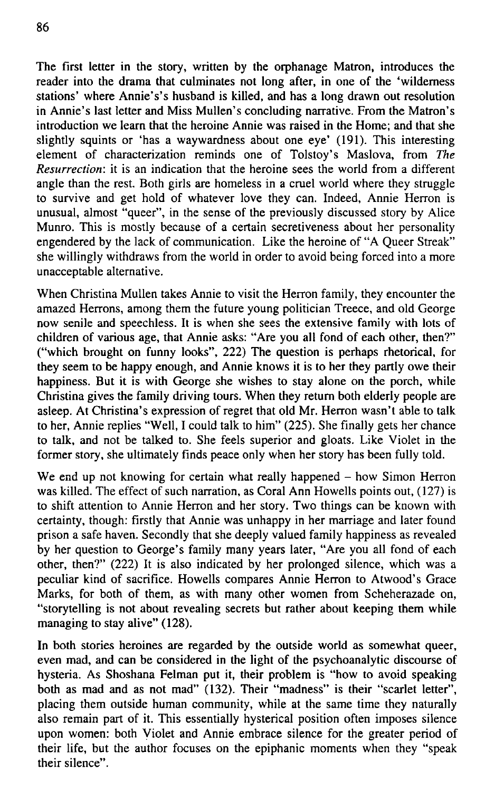The first letter in the story, written by the orphanage Matron, introduces the reader into the drama that culminates not long after, in one of the 'wilderness stations' where Annie's's husband is killed, and has a long drawn out resolution in Annie's last letter and Miss Mullen's concluding narrative. From the Matron's introduction we Iearn that the heroine Annie was raised in the Home; and that she slightly squints or 'has a waywardness about one eye' (191). This interesting

element of characterization reminds one of Tolstoy's Maslova, from The *Resurrection:* it is an indication that the heroine sees the world from a different angle than the rest. Both girls are homeless in a cruel world where they struggle to survive and get hold of whatever love they can. Indeed, Annie Herron is unusual, almost "queer", in the sense of the previously discussed story by Alice Munro. This is mostly because of a certain secretiveness about her personality engendered by the lack of communication. Like the heroine of "A Queer Streak" she willingly withdraws from the world in order to avoid being forced into a more unacceptable alternativě.

When Christina Mullen takes Annie to visit the Herron family, they encounter the amazed Herrons, among them the future young politician Treece, and old George now senile and speechless. It is when she sees the extensive family with lots of children of various age, that Annie asks: "Are you all fond of each other, then?" ("which brought on funny looks", 222) The question is perhaps rhetorical, for they seem to be happy enough, and Annie knows it is to her they partly owe their happiness. But it is with George she wishes to stay alone on the porch, while Christina gives the family driving tours. When they return both elderly people are asleep. At Christina's expression of regret that old Mr. Herron wasn't able to talk to her, Annie replies "Well, I could talk to him" (225). She finally gets her chance to talk, and not be talked to. She feels superior and gloats. Like Violet in the former story, she ultimately finds peace only when her story has been fully told.

We end up not knowing for certain what really happened  $-$  how Simon Herron was killed. The effect of such narration, as Coral Ann Howells points out, (127) is to shift attention to Annie Herron and her story. Two things can be known with certainty, though: firstly that Annie was unhappy in her marriage and later found prison a safe haven. Secondly that she deeply valued family happiness as revealed by her question to George's family many years later, "Are you all fond of each other, then?" (222) It is also indicated by her prolonged silence, which was a peculiar kind of sacrifice. Howells compares Annie Herron to Atwooďs Grace Marks, for both of them, as with many other women from Scheherazade on, "storytelling is not about revealing secrets but rather about keeping them while managing to stay alive" (128).

In both stories heroines are regarded by the outside world as somewhat queer, even mad, and can be considered in the light of the psychoanalytic discourse of hysteria. As Shoshana Felman put it, their problém is "how to avoid speaking both as mad and as not mad" (132). Their "madness" is their "scarlet letter", placing them outside human community, while at the same time they naturally also remain part of it. This essentially hysterical position often imposes silence upon women: both Violet and Annie embrace silence for the greater period of their life, but the author focuses on the epiphanic moments when they "speak their silence".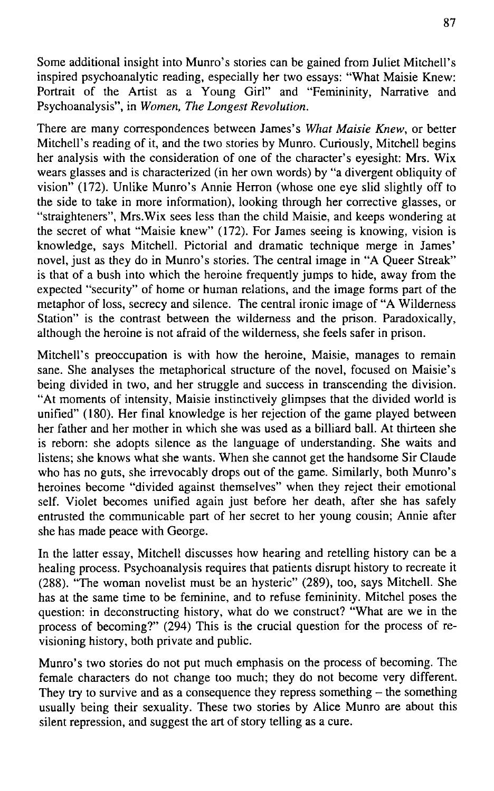Some additional insight into Munro's stories can be gained from Juliet Mitchell's inspired psychoanalytic reading, especially her two essays: "What Maisie Knew: Portrait of the Artist as a Young Girl" and "Femininity, Narrative and Psychoanalysis", in *Women, The Longest Revolution.* 

There are many correspondences between James's What Maisie Knew, or better Mitchell's reading of it, and the two stories by Munro. Curiously, Mitchell begins her analysis with the consideration of one of the character's eyesight: Mrs. Wix wears glasses and is characterized (in her own words) by "a divergent obliquity of vision" (172). Unlike Munro's Annie Herron (whose one eye slid slightly off to the side to take in more information), looking through her corrective glasses, oř "straighteners", Mrs.Wix sees less than the child Maisie, and keeps wondering at the secret of what "Maisie knew" (172). For James seeing is knowing, vision is knowledge, says Mitchell. Pictorial and dramatic technique merge in James' novel, just as they do in Munro's stories. The central image in "A Queer Streak" is that of a bush into which the heroine frequently jumps to hide, away from the expected "security" of home or human relations, and the image forms part of the metaphor of loss, secrecy and silence. The central ironic image of "A Wilderness" Station" is the contrast between the wilderness and the prison. Paradoxically, although the heroine is not afraid of the wilderness, she feels safer in prison.

Mitchell's preoceupation is with how the heroine, Maisie, manages to remain sane. She analyses the metaphorical structure of the novel, focused on Maisie's being divided in two, and her struggle and success in transcending the division. "At moments of intensity, Maisie instinctively glimpses that the divided world is unified" (180). Her final knowledge is her rejection of the game played between her father and her mother in which she was used as a billiard ball. At thirteen she is reborn: she adopts silence as the language of understanding. She waits and listens; she knows what she wants. When she cannot get the handsome Sir Claude who has no guts, she irrevocably drops out of the game. Similarly, both Munro's heroines become "divided against themselves" when they reject their emotional self. Violet becomes unified again just before her death, after she has safely entrusted the communicable part of her secret to her young cousin; Annie after she has made peace with George.

In the latter essay, Mitchell discusses how hearing and retelling history can be a healing process. Psychoanalysis requires that patients disrupt history to reereate it (288). "The woman novelist must be an hysterie" (289), too, says Mitchell. She has at the same time to be feminine, and to refuse femininity. Mitchel poses the question: in deconstructing history, what do we construct? "What are we in the process of becoming?" (294) This is the crucial question for the process of revisioning history, both private and public.

Munro's two stories do not put much emphasis on the process of becoming. The female characters do not change too much; they do not become very different. They try to survive and as a consequence they repress something  $-$  the something usually being their sexuality. These two stories by Alice Munro are about this silent repression, and suggest the art of story telling as a cure.